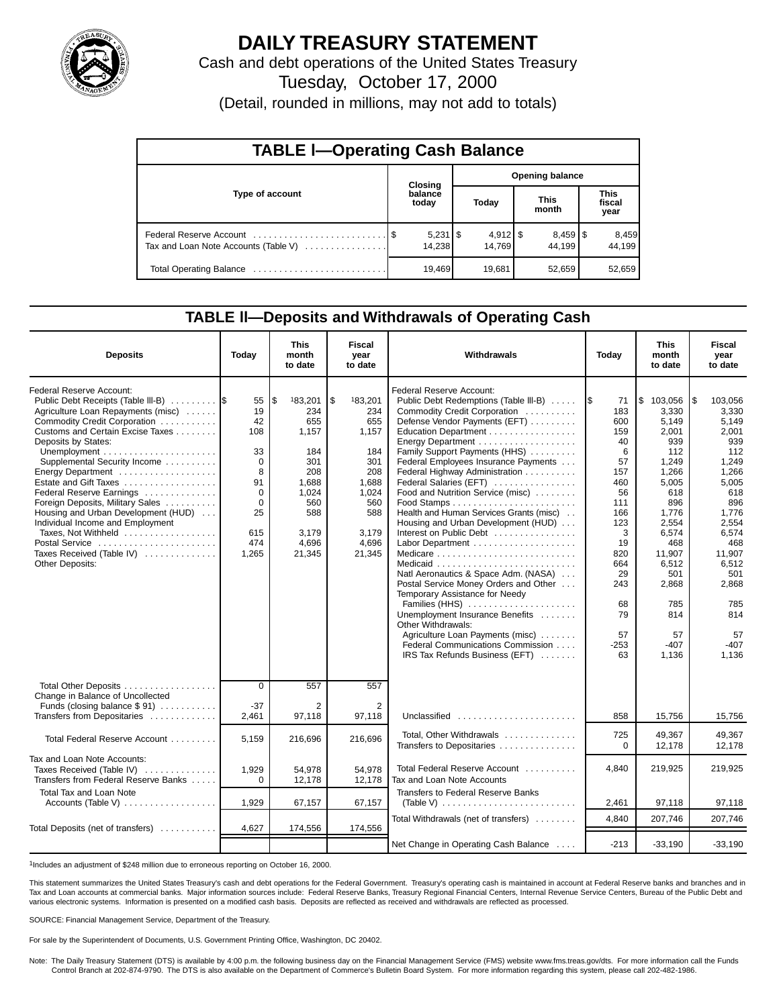

## **DAILY TREASURY STATEMENT**

Cash and debt operations of the United States Treasury

Tuesday, October 17, 2000

(Detail, rounded in millions, may not add to totals)

| <b>TABLE I-Operating Cash Balance</b> |  |                  |                        |        |  |                                 |                               |                 |  |  |
|---------------------------------------|--|------------------|------------------------|--------|--|---------------------------------|-------------------------------|-----------------|--|--|
|                                       |  | <b>Closing</b>   | <b>Opening balance</b> |        |  |                                 |                               |                 |  |  |
| Type of account                       |  | balance<br>today |                        | Today  |  | <b>This</b><br>month            | <b>This</b><br>fiscal<br>year |                 |  |  |
| Tax and Loan Note Accounts (Table V)  |  | 14.238           |                        | 14,769 |  | $8,459$ $\frac{8}{3}$<br>44.199 |                               | 8,459<br>44.199 |  |  |
| Total Operating Balance               |  | 19,469           |                        | 19,681 |  | 52,659                          |                               | 52,659          |  |  |

### **TABLE ll—Deposits and Withdrawals of Operating Cash**

| <b>Deposits</b>                                                                                                                                                                                                                                                                                                                                                                                                                                                                                                   | Today                                                                                                      | <b>This</b><br>month<br>to date                                                                                        | Fiscal<br>vear<br>to date                                                                                              | Withdrawals                                                                                                                                                                                                                                                                                                                                                                                                                                                                                                                                                                                                                                                                                                                                                |                                                                                                                                                                  | <b>This</b><br>month<br>to date                                                                                                                                                                         | <b>Fiscal</b><br>year<br>to date                                                                                                                                                                             |
|-------------------------------------------------------------------------------------------------------------------------------------------------------------------------------------------------------------------------------------------------------------------------------------------------------------------------------------------------------------------------------------------------------------------------------------------------------------------------------------------------------------------|------------------------------------------------------------------------------------------------------------|------------------------------------------------------------------------------------------------------------------------|------------------------------------------------------------------------------------------------------------------------|------------------------------------------------------------------------------------------------------------------------------------------------------------------------------------------------------------------------------------------------------------------------------------------------------------------------------------------------------------------------------------------------------------------------------------------------------------------------------------------------------------------------------------------------------------------------------------------------------------------------------------------------------------------------------------------------------------------------------------------------------------|------------------------------------------------------------------------------------------------------------------------------------------------------------------|---------------------------------------------------------------------------------------------------------------------------------------------------------------------------------------------------------|--------------------------------------------------------------------------------------------------------------------------------------------------------------------------------------------------------------|
| Federal Reserve Account:<br>Public Debt Receipts (Table III-B)<br>Agriculture Loan Repayments (misc)<br>Commodity Credit Corporation<br>Customs and Certain Excise Taxes<br>Deposits by States:<br>Supplemental Security Income<br>Energy Department<br>Estate and Gift Taxes<br>Federal Reserve Earnings<br>Foreign Deposits, Military Sales<br>Housing and Urban Development (HUD)<br>Individual Income and Employment<br>Taxes. Not Withheld<br>Postal Service<br>Taxes Received (Table IV)<br>Other Deposits: | 55<br>19<br>42<br>108<br>33<br>$\Omega$<br>8<br>91<br>$\mathbf 0$<br>$\Omega$<br>25<br>615<br>474<br>1,265 | l\$<br>183,201<br>234<br>655<br>1,157<br>184<br>301<br>208<br>1,688<br>1,024<br>560<br>588<br>3,179<br>4,696<br>21,345 | \$.<br>183,201<br>234<br>655<br>1,157<br>184<br>301<br>208<br>1,688<br>1,024<br>560<br>588<br>3.179<br>4,696<br>21,345 | Federal Reserve Account:<br>Public Debt Redemptions (Table III-B)<br>Commodity Credit Corporation<br>Defense Vendor Payments (EFT)<br>Education Department<br>Family Support Payments (HHS)<br>Federal Employees Insurance Payments<br>Federal Highway Administration<br>Federal Salaries (EFT)<br>Food and Nutrition Service (misc)<br>Health and Human Services Grants (misc)<br>Housing and Urban Development (HUD)<br>Interest on Public Debt<br>Natl Aeronautics & Space Adm. (NASA)<br>Postal Service Money Orders and Other<br>Temporary Assistance for Needy<br>Families (HHS)<br>Unemployment Insurance Benefits<br>Other Withdrawals:<br>Agriculture Loan Payments (misc)<br>Federal Communications Commission<br>IRS Tax Refunds Business (EFT) | 1\$<br>71<br>183<br>600<br>159<br>40<br>6<br>57<br>157<br>460<br>56<br>111<br>166<br>123<br>3<br>19<br>820<br>664<br>29<br>243<br>68<br>79<br>57<br>$-253$<br>63 | \$103,056<br>3.330<br>5,149<br>2,001<br>939<br>112<br>1,249<br>1,266<br>5,005<br>618<br>896<br>1,776<br>2.554<br>6.574<br>468<br>11,907<br>6,512<br>501<br>2,868<br>785<br>814<br>57<br>$-407$<br>1,136 | l\$<br>103.056<br>3,330<br>5,149<br>2,001<br>939<br>112<br>1,249<br>1,266<br>5,005<br>618<br>896<br>1,776<br>2,554<br>6.574<br>468<br>11,907<br>6,512<br>501<br>2,868<br>785<br>814<br>57<br>$-407$<br>1.136 |
| Total Other Deposits<br>Change in Balance of Uncollected<br>Funds (closing balance \$91)<br>Transfers from Depositaries                                                                                                                                                                                                                                                                                                                                                                                           | $\Omega$<br>$-37$<br>2,461                                                                                 | 557<br>2<br>97,118                                                                                                     | 557<br>$\overline{2}$<br>97,118                                                                                        | Unclassified $\ldots \ldots \ldots \ldots \ldots \ldots$                                                                                                                                                                                                                                                                                                                                                                                                                                                                                                                                                                                                                                                                                                   | 858                                                                                                                                                              | 15,756                                                                                                                                                                                                  | 15,756                                                                                                                                                                                                       |
| Total Federal Reserve Account                                                                                                                                                                                                                                                                                                                                                                                                                                                                                     | 5,159                                                                                                      | 216,696                                                                                                                | 216,696                                                                                                                | Total. Other Withdrawals<br>Transfers to Depositaries                                                                                                                                                                                                                                                                                                                                                                                                                                                                                                                                                                                                                                                                                                      | 725<br>$\Omega$                                                                                                                                                  | 49.367<br>12,178                                                                                                                                                                                        | 49,367<br>12.178                                                                                                                                                                                             |
| Tax and Loan Note Accounts:<br>Taxes Received (Table IV)<br>Transfers from Federal Reserve Banks                                                                                                                                                                                                                                                                                                                                                                                                                  | 1,929<br>$\Omega$                                                                                          | 54,978<br>12,178                                                                                                       | 54,978<br>12,178                                                                                                       | Total Federal Reserve Account<br>Tax and Loan Note Accounts                                                                                                                                                                                                                                                                                                                                                                                                                                                                                                                                                                                                                                                                                                | 4.840                                                                                                                                                            | 219,925                                                                                                                                                                                                 | 219.925                                                                                                                                                                                                      |
| <b>Total Tax and Loan Note</b><br>Accounts (Table V) $\dots \dots \dots \dots \dots$                                                                                                                                                                                                                                                                                                                                                                                                                              | 1,929                                                                                                      | 67,157                                                                                                                 | 67,157                                                                                                                 | Transfers to Federal Reserve Banks                                                                                                                                                                                                                                                                                                                                                                                                                                                                                                                                                                                                                                                                                                                         | 2,461                                                                                                                                                            | 97,118                                                                                                                                                                                                  | 97,118                                                                                                                                                                                                       |
| Total Deposits (net of transfers)                                                                                                                                                                                                                                                                                                                                                                                                                                                                                 | 4,627                                                                                                      | 174,556                                                                                                                | 174,556                                                                                                                | Total Withdrawals (net of transfers)                                                                                                                                                                                                                                                                                                                                                                                                                                                                                                                                                                                                                                                                                                                       | 4,840                                                                                                                                                            | 207,746                                                                                                                                                                                                 | 207,746                                                                                                                                                                                                      |
|                                                                                                                                                                                                                                                                                                                                                                                                                                                                                                                   |                                                                                                            |                                                                                                                        |                                                                                                                        | Net Change in Operating Cash Balance                                                                                                                                                                                                                                                                                                                                                                                                                                                                                                                                                                                                                                                                                                                       | $-213$                                                                                                                                                           | $-33,190$                                                                                                                                                                                               | $-33,190$                                                                                                                                                                                                    |

1Includes an adjustment of \$248 million due to erroneous reporting on October 16, 2000.

This statement summarizes the United States Treasury's cash and debt operations for the Federal Government. Treasury's operating cash is maintained in account at Federal Reserve banks and branches and in Tax and Loan accounts at commercial banks. Major information sources include: Federal Reserve Banks, Treasury Regional Financial Centers, Internal Revenue Service Centers, Bureau of the Public Debt and various electronic systems. Information is presented on a modified cash basis. Deposits are reflected as received and withdrawals are reflected as processed.

SOURCE: Financial Management Service, Department of the Treasury.

For sale by the Superintendent of Documents, U.S. Government Printing Office, Washington, DC 20402.

Note: The Daily Treasury Statement (DTS) is available by 4:00 p.m. the following business day on the Financial Management Service (FMS) website www.fms.treas.gov/dts. For more information call the Funds<br>Control Branch at 2